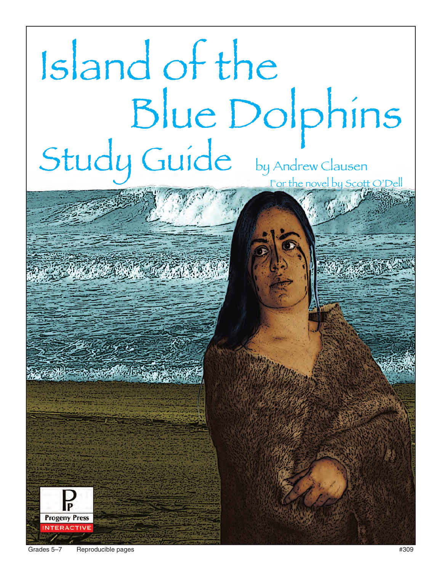# Island of the Blue Dolphins Study Guide by Andrew Clausen For the novel by Scott O'Dell



**Progeny Press**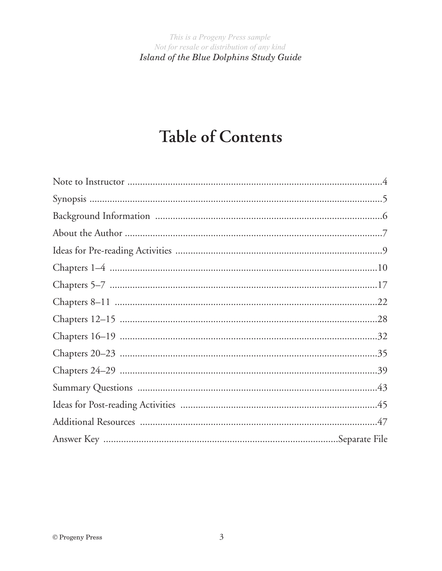# **Table of Contents**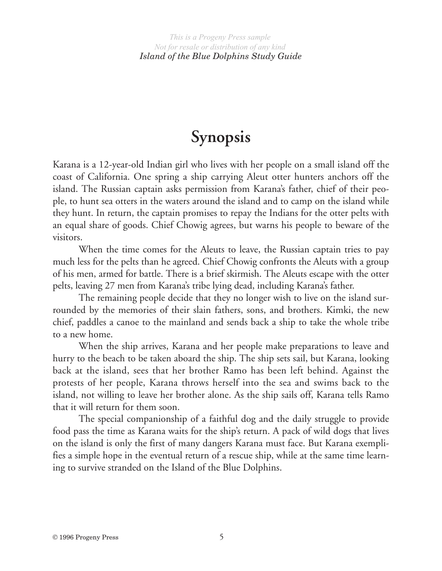# **Synopsis**

Karana is a 12-year-old Indian girl who lives with her people on a small island off the coast of California. One spring a ship carrying Aleut otter hunters anchors off the island. The Russian captain asks permission from Karana's father, chief of their people, to hunt sea otters in the waters around the island and to camp on the island while they hunt. In return, the captain promises to repay the Indians for the otter pelts with an equal share of goods. Chief Chowig agrees, but warns his people to beware of the visitors.

When the time comes for the Aleuts to leave, the Russian captain tries to pay much less for the pelts than he agreed. Chief Chowig confronts the Aleuts with a group of his men, armed for battle. There is a brief skirmish. The Aleuts escape with the otter pelts, leaving 27 men from Karana's tribe lying dead, including Karana's father.

The remaining people decide that they no longer wish to live on the island surrounded by the memories of their slain fathers, sons, and brothers. Kimki, the new chief, paddles a canoe to the mainland and sends back a ship to take the whole tribe to a new home.

When the ship arrives, Karana and her people make preparations to leave and hurry to the beach to be taken aboard the ship. The ship sets sail, but Karana, looking back at the island, sees that her brother Ramo has been left behind. Against the protests of her people, Karana throws herself into the sea and swims back to the island, not willing to leave her brother alone. As the ship sails off, Karana tells Ramo that it will return for them soon.

The special companionship of a faithful dog and the daily struggle to provide food pass the time as Karana waits for the ship's return. A pack of wild dogs that lives on the island is only the first of many dangers Karana must face. But Karana exemplifies a simple hope in the eventual return of a rescue ship, while at the same time learning to survive stranded on the Island of the Blue Dolphins.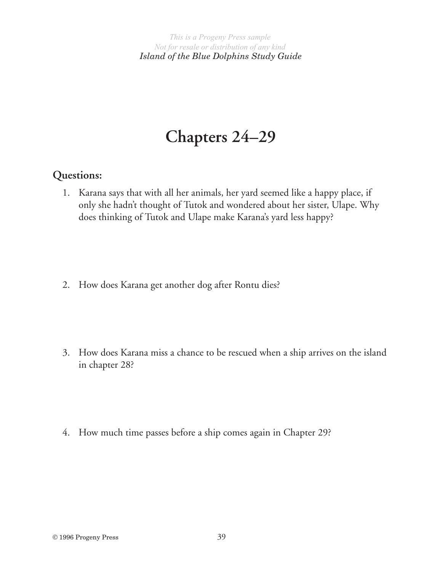# **Chapters 24–29**

# **Questions:**

- 1. Karana says that with all her animals, her yard seemed like a happy place, if only she hadn't thought of Tutok and wondered about her sister, Ulape. Why does thinking of Tutok and Ulape make Karana's yard less happy?
- 2. How does Karana get another dog after Rontu dies?
- 3. How does Karana miss a chance to be rescued when a ship arrives on the island in chapter 28?

4. How much time passes before a ship comes again in Chapter 29?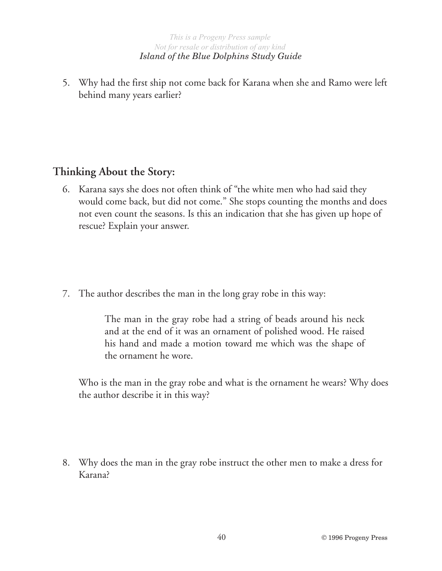## *Island of the Blue Dolphins Study Guide*

5. Why had the first ship not come back for Karana when she and Ramo were left behind many years earlier?

# **Thinking About the Story:**

- 6. Karana says she does not often think of "the white men who had said they would come back, but did not come." She stops counting the months and does not even count the seasons. Is this an indication that she has given up hope of rescue? Explain your answer.
- 7. The author describes the man in the long gray robe in this way:

The man in the gray robe had a string of beads around his neck and at the end of it was an ornament of polished wood. He raised his hand and made a motion toward me which was the shape of the ornament he wore.

Who is the man in the gray robe and what is the ornament he wears? Why does the author describe it in this way?

8. Why does the man in the gray robe instruct the other men to make a dress for Karana?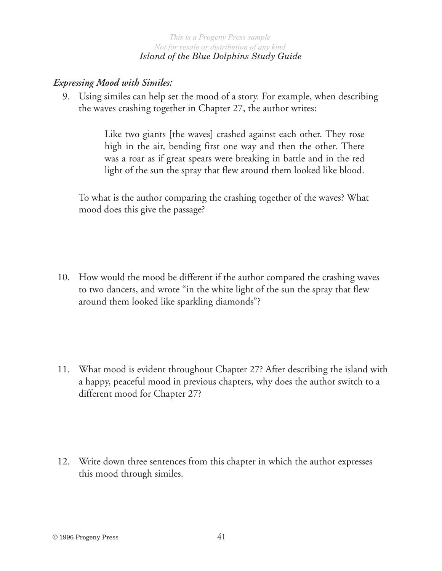#### *Island of the Blue Dolphins Study Guide*

## *Expressing Mood with Similes:*

9. Using similes can help set the mood of a story. For example, when describing the waves crashing together in Chapter 27, the author writes:

> Like two giants [the waves] crashed against each other. They rose high in the air, bending first one way and then the other. There was a roar as if great spears were breaking in battle and in the red light of the sun the spray that flew around them looked like blood.

To what is the author comparing the crashing together of the waves? What mood does this give the passage?

- 10. How would the mood be different if the author compared the crashing waves to two dancers, and wrote "in the white light of the sun the spray that flew around them looked like sparkling diamonds"?
- 11. What mood is evident throughout Chapter 27? After describing the island with a happy, peaceful mood in previous chapters, why does the author switch to a different mood for Chapter 27?
- 12. Write down three sentences from this chapter in which the author expresses this mood through similes.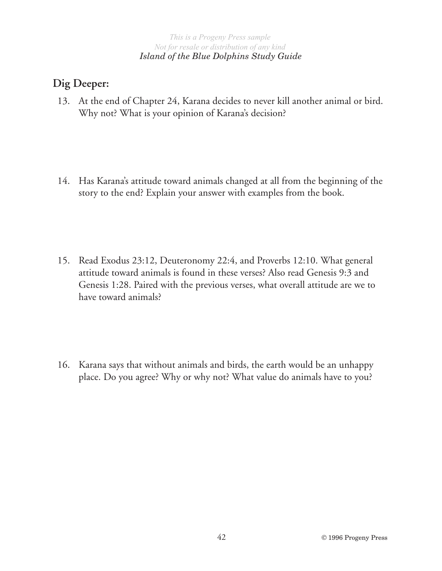#### *Island of the Blue Dolphins Study Guide*

## **Dig Deeper:**

- 13. At the end of Chapter 24, Karana decides to never kill another animal or bird. Why not? What is your opinion of Karana's decision?
- 14. Has Karana's attitude toward animals changed at all from the beginning of the story to the end? Explain your answer with examples from the book.
- 15. Read Exodus 23:12, Deuteronomy 22:4, and Proverbs 12:10. What general attitude toward animals is found in these verses? Also read Genesis 9:3 and Genesis 1:28. Paired with the previous verses, what overall attitude are we to have toward animals?
- 16. Karana says that without animals and birds, the earth would be an unhappy place. Do you agree? Why or why not? What value do animals have to you?